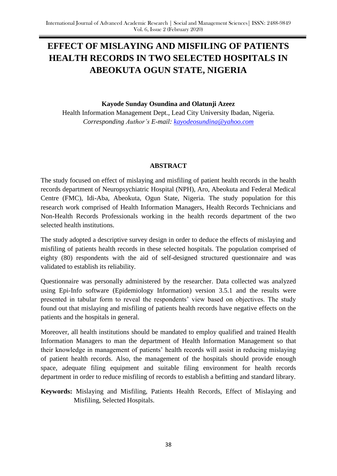# **EFFECT OF MISLAYING AND MISFILING OF PATIENTS HEALTH RECORDS IN TWO SELECTED HOSPITALS IN ABEOKUTA OGUN STATE, NIGERIA**

**Kayode Sunday Osundina and Olatunji Azeez** Health Information Management Dept., Lead City University Ibadan, Nigeria. *Corresponding Author's E-mail: [kayodeosundina@yahoo.com](mailto:kayodeosundina@yahoo.com)*

# **ABSTRACT**

The study focused on effect of mislaying and misfiling of patient health records in the health records department of Neuropsychiatric Hospital (NPH), Aro, Abeokuta and Federal Medical Centre (FMC), Idi-Aba, Abeokuta, Ogun State, Nigeria. The study population for this research work comprised of Health Information Managers, Health Records Technicians and Non-Health Records Professionals working in the health records department of the two selected health institutions.

The study adopted a descriptive survey design in order to deduce the effects of mislaying and misfiling of patients health records in these selected hospitals. The population comprised of eighty (80) respondents with the aid of self-designed structured questionnaire and was validated to establish its reliability.

Questionnaire was personally administered by the researcher. Data collected was analyzed using Epi-Info software (Epidemiology Information) version 3.5.1 and the results were presented in tabular form to reveal the respondents' view based on objectives. The study found out that mislaying and misfiling of patients health records have negative effects on the patients and the hospitals in general.

Moreover, all health institutions should be mandated to employ qualified and trained Health Information Managers to man the department of Health Information Management so that their knowledge in management of patients' health records will assist in reducing mislaying of patient health records. Also, the management of the hospitals should provide enough space, adequate filing equipment and suitable filing environment for health records department in order to reduce misfiling of records to establish a befitting and standard library.

**Keywords:** Mislaying and Misfiling, Patients Health Records, Effect of Mislaying and Misfiling, Selected Hospitals.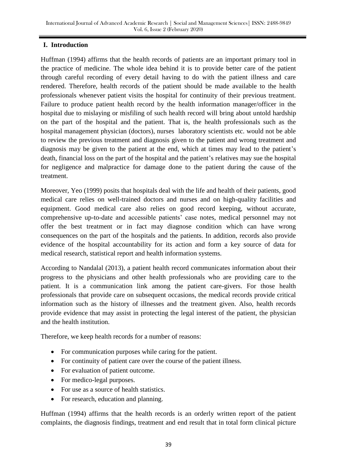### **I. Introduction**

Huffman (1994) affirms that the health records of patients are an important primary tool in the practice of medicine. The whole idea behind it is to provide better care of the patient through careful recording of every detail having to do with the patient illness and care rendered. Therefore, health records of the patient should be made available to the health professionals whenever patient visits the hospital for continuity of their previous treatment. Failure to produce patient health record by the health information manager/officer in the hospital due to mislaying or misfiling of such health record will bring about untold hardship on the part of the hospital and the patient. That is, the health professionals such as the hospital management physician (doctors), nurses laboratory scientists etc. would not be able to review the previous treatment and diagnosis given to the patient and wrong treatment and diagnosis may be given to the patient at the end, which at times may lead to the patient's death, financial loss on the part of the hospital and the patient's relatives may sue the hospital for negligence and malpractice for damage done to the patient during the cause of the treatment.

Moreover, Yeo (1999) posits that hospitals deal with the life and health of their patients, good medical care relies on well-trained doctors and nurses and on high-quality facilities and equipment. Good medical care also relies on good record keeping, without accurate, comprehensive up-to-date and accessible patients' case notes, medical personnel may not offer the best treatment or in fact may diagnose condition which can have wrong consequences on the part of the hospitals and the patients. In addition, records also provide evidence of the hospital accountability for its action and form a key source of data for medical research, statistical report and health information systems.

According to Nandalal (2013), a patient health record communicates information about their progress to the physicians and other health professionals who are providing care to the patient. It is a communication link among the patient care-givers. For those health professionals that provide care on subsequent occasions, the medical records provide critical information such as the history of illnesses and the treatment given. Also, health records provide evidence that may assist in protecting the legal interest of the patient, the physician and the health institution.

Therefore, we keep health records for a number of reasons:

- For communication purposes while caring for the patient.
- For continuity of patient care over the course of the patient illness.
- For evaluation of patient outcome.
- For medico-legal purposes.
- For use as a source of health statistics.
- For research, education and planning.

Huffman (1994) affirms that the health records is an orderly written report of the patient complaints, the diagnosis findings, treatment and end result that in total form clinical picture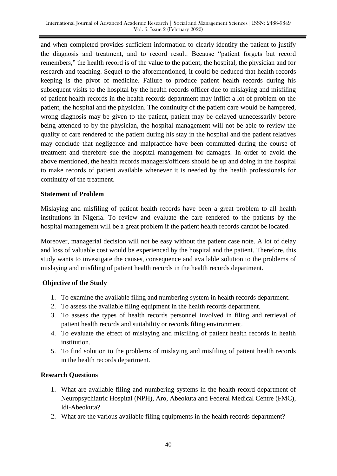and when completed provides sufficient information to clearly identify the patient to justify the diagnosis and treatment, and to record result. Because "patient forgets but record remembers," the health record is of the value to the patient, the hospital, the physician and for research and teaching. Sequel to the aforementioned, it could be deduced that health records keeping is the pivot of medicine. Failure to produce patient health records during his subsequent visits to the hospital by the health records officer due to mislaying and misfiling of patient health records in the health records department may inflict a lot of problem on the patient, the hospital and the physician. The continuity of the patient care would be hampered, wrong diagnosis may be given to the patient, patient may be delayed unnecessarily before being attended to by the physician, the hospital management will not be able to review the quality of care rendered to the patient during his stay in the hospital and the patient relatives may conclude that negligence and malpractice have been committed during the course of treatment and therefore sue the hospital management for damages. In order to avoid the above mentioned, the health records managers/officers should be up and doing in the hospital to make records of patient available whenever it is needed by the health professionals for continuity of the treatment.

### **Statement of Problem**

Mislaying and misfiling of patient health records have been a great problem to all health institutions in Nigeria. To review and evaluate the care rendered to the patients by the hospital management will be a great problem if the patient health records cannot be located.

Moreover, managerial decision will not be easy without the patient case note. A lot of delay and loss of valuable cost would be experienced by the hospital and the patient. Therefore, this study wants to investigate the causes, consequence and available solution to the problems of mislaying and misfiling of patient health records in the health records department.

# **Objective of the Study**

- 1. To examine the available filing and numbering system in health records department.
- 2. To assess the available filing equipment in the health records department.
- 3. To assess the types of health records personnel involved in filing and retrieval of patient health records and suitability or records filing environment.
- 4. To evaluate the effect of mislaying and misfiling of patient health records in health institution.
- 5. To find solution to the problems of mislaying and misfiling of patient health records in the health records department.

# **Research Questions**

- 1. What are available filing and numbering systems in the health record department of Neuropsychiatric Hospital (NPH), Aro, Abeokuta and Federal Medical Centre (FMC), Idi-Abeokuta?
- 2. What are the various available filing equipments in the health records department?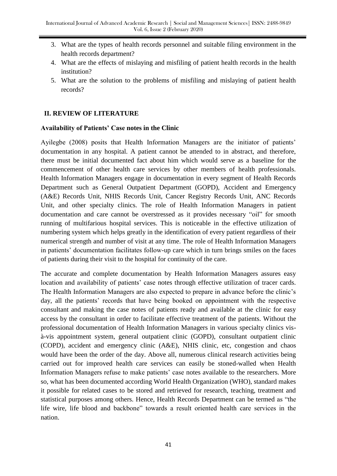- 3. What are the types of health records personnel and suitable filing environment in the health records department?
- 4. What are the effects of mislaying and misfiling of patient health records in the health institution?
- 5. What are the solution to the problems of misfiling and mislaying of patient health records?

### **II. REVIEW OF LITERATURE**

### **Availability of Patients' Case notes in the Clinic**

Ayilegbe (2008) posits that Health Information Managers are the initiator of patients' documentation in any hospital. A patient cannot be attended to in abstract, and therefore, there must be initial documented fact about him which would serve as a baseline for the commencement of other health care services by other members of health professionals. Health Information Managers engage in documentation in every segment of Health Records Department such as General Outpatient Department (GOPD), Accident and Emergency (A&E) Records Unit, NHIS Records Unit, Cancer Registry Records Unit, ANC Records Unit, and other specialty clinics. The role of Health Information Managers in patient documentation and care cannot be overstressed as it provides necessary "oil" for smooth running of multifarious hospital services. This is noticeable in the effective utilization of numbering system which helps greatly in the identification of every patient regardless of their numerical strength and number of visit at any time. The role of Health Information Managers in patients' documentation facilitates follow-up care which in turn brings smiles on the faces of patients during their visit to the hospital for continuity of the care.

The accurate and complete documentation by Health Information Managers assures easy location and availability of patients' case notes through effective utilization of tracer cards. The Health Information Managers are also expected to prepare in advance before the clinic's day, all the patients' records that have being booked on appointment with the respective consultant and making the case notes of patients ready and available at the clinic for easy access by the consultant in order to facilitate effective treatment of the patients. Without the professional documentation of Health Information Managers in various specialty clinics visà-vis appointment system, general outpatient clinic (GOPD), consultant outpatient clinic (COPD), accident and emergency clinic (A&E), NHIS clinic, etc, congestion and chaos would have been the order of the day. Above all, numerous clinical research activities being carried out for improved health care services can easily be stoned-walled when Health Information Managers refuse to make patients' case notes available to the researchers. More so, what has been documented according World Health Organization (WHO), standard makes it possible for related cases to be stored and retrieved for research, teaching, treatment and statistical purposes among others. Hence, Health Records Department can be termed as "the life wire, life blood and backbone" towards a result oriented health care services in the nation.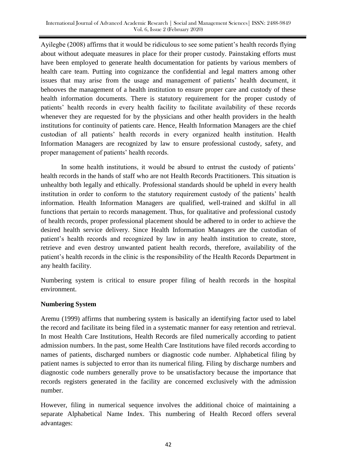Ayilegbe (2008) affirms that it would be ridiculous to see some patient's health records flying about without adequate measures in place for their proper custody. Painstaking efforts must have been employed to generate health documentation for patients by various members of health care team. Putting into cognizance the confidential and legal matters among other issues that may arise from the usage and management of patients' health document, it behooves the management of a health institution to ensure proper care and custody of these health information documents. There is statutory requirement for the proper custody of patients' health records in every health facility to facilitate availability of these records whenever they are requested for by the physicians and other health providers in the health institutions for continuity of patients care. Hence, Health Information Managers are the chief custodian of all patients' health records in every organized health institution. Health Information Managers are recognized by law to ensure professional custody, safety, and proper management of patients' health records.

In some health institutions, it would be absurd to entrust the custody of patients' health records in the hands of staff who are not Health Records Practitioners. This situation is unhealthy both legally and ethically. Professional standards should be upheld in every health institution in order to conform to the statutory requirement custody of the patients' health information. Health Information Managers are qualified, well-trained and skilful in all functions that pertain to records management. Thus, for qualitative and professional custody of health records, proper professional placement should be adhered to in order to achieve the desired health service delivery. Since Health Information Managers are the custodian of patient's health records and recognized by law in any health institution to create, store, retrieve and even destroy unwanted patient health records, therefore, availability of the patient's health records in the clinic is the responsibility of the Health Records Department in any health facility.

Numbering system is critical to ensure proper filing of health records in the hospital environment.

# **Numbering System**

Aremu (1999) affirms that numbering system is basically an identifying factor used to label the record and facilitate its being filed in a systematic manner for easy retention and retrieval. In most Health Care Institutions, Health Records are filed numerically according to patient admission numbers. In the past, some Health Care Institutions have filed records according to names of patients, discharged numbers or diagnostic code number. Alphabetical filing by patient names is subjected to error than its numerical filing. Filing by discharge numbers and diagnostic code numbers generally prove to be unsatisfactory because the importance that records registers generated in the facility are concerned exclusively with the admission number.

However, filing in numerical sequence involves the additional choice of maintaining a separate Alphabetical Name Index. This numbering of Health Record offers several advantages: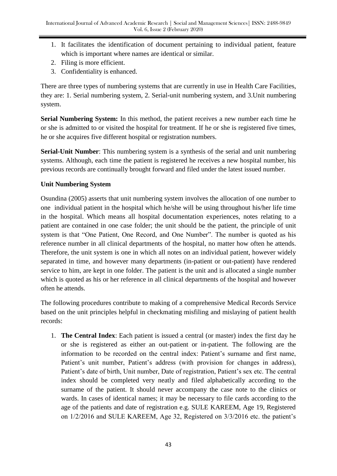- 1. It facilitates the identification of document pertaining to individual patient, feature which is important where names are identical or similar.
- 2. Filing is more efficient.
- 3. Confidentiality is enhanced.

There are three types of numbering systems that are currently in use in Health Care Facilities, they are: 1. Serial numbering system, 2. Serial-unit numbering system, and 3.Unit numbering system.

**Serial Numbering System:** In this method, the patient receives a new number each time he or she is admitted to or visited the hospital for treatment. If he or she is registered five times, he or she acquires five different hospital or registration numbers.

**Serial-Unit Number**: This numbering system is a synthesis of the serial and unit numbering systems. Although, each time the patient is registered he receives a new hospital number, his previous records are continually brought forward and filed under the latest issued number.

# **Unit Numbering System**

Osundina (2005) asserts that unit numbering system involves the allocation of one number to one individual patient in the hospital which he/she will be using throughout his/her life time in the hospital. Which means all hospital documentation experiences, notes relating to a patient are contained in one case folder; the unit should be the patient, the principle of unit system is that "One Patient, One Record, and One Number". The number is quoted as his reference number in all clinical departments of the hospital, no matter how often he attends. Therefore, the unit system is one in which all notes on an individual patient, however widely separated in time, and however many departments (in-patient or out-patient) have rendered service to him, are kept in one folder. The patient is the unit and is allocated a single number which is quoted as his or her reference in all clinical departments of the hospital and however often he attends.

The following procedures contribute to making of a comprehensive Medical Records Service based on the unit principles helpful in checkmating misfiling and mislaying of patient health records:

1. **The Central Index**: Each patient is issued a central (or master) index the first day he or she is registered as either an out-patient or in-patient. The following are the information to be recorded on the central index: Patient's surname and first name, Patient's unit number, Patient's address (with provision for changes in address), Patient's date of birth, Unit number, Date of registration, Patient's sex etc. The central index should be completed very neatly and filed alphabetically according to the surname of the patient. It should never accompany the case note to the clinics or wards. In cases of identical names; it may be necessary to file cards according to the age of the patients and date of registration e.g. SULE KAREEM, Age 19, Registered on 1/2/2016 and SULE KAREEM, Age 32, Registered on 3/3/2016 etc. the patient's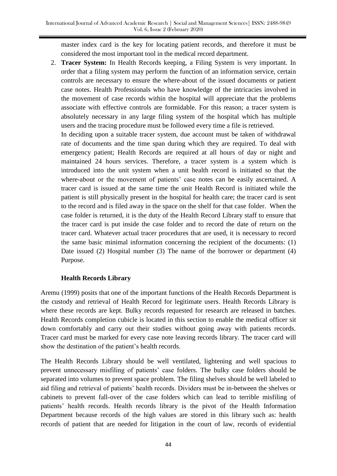master index card is the key for locating patient records, and therefore it must be considered the most important tool in the medical record department.

2. **Tracer System:** In Health Records keeping, a Filing System is very important. In order that a filing system may perform the function of an information service, certain controls are necessary to ensure the where-about of the issued documents or patient case notes. Health Professionals who have knowledge of the intricacies involved in the movement of case records within the hospital will appreciate that the problems associate with effective controls are formidable. For this reason; a tracer system is absolutely necessary in any large filing system of the hospital which has multiple users and the tracing procedure must be followed every time a file is retrieved.

In deciding upon a suitable tracer system, due account must be taken of withdrawal rate of documents and the time span during which they are required. To deal with emergency patient; Health Records are required at all hours of day or night and maintained 24 hours services. Therefore, a tracer system is a system which is introduced into the unit system when a unit health record is initiated so that the where-about or the movement of patients' case notes can be easily ascertained. A tracer card is issued at the same time the unit Health Record is initiated while the patient is still physically present in the hospital for health care; the tracer card is sent to the record and is filed away in the space on the shelf for that case folder. When the case folder is returned, it is the duty of the Health Record Library staff to ensure that the tracer card is put inside the case folder and to record the date of return on the tracer card. Whatever actual tracer procedures that are used, it is necessary to record the same basic minimal information concerning the recipient of the documents: (1) Date issued (2) Hospital number (3) The name of the borrower or department (4) Purpose.

# **Health Records Library**

Aremu (1999) posits that one of the important functions of the Health Records Department is the custody and retrieval of Health Record for legitimate users. Health Records Library is where these records are kept. Bulky records requested for research are released in batches. Health Records completion cubicle is located in this section to enable the medical officer sit down comfortably and carry out their studies without going away with patients records. Tracer card must be marked for every case note leaving records library. The tracer card will show the destination of the patient's health records.

The Health Records Library should be well ventilated, lightening and well spacious to prevent unnecessary misfiling of patients' case folders. The bulky case folders should be separated into volumes to prevent space problem. The filing shelves should be well labeled to aid filing and retrieval of patients' health records. Dividers must be in-between the shelves or cabinets to prevent fall-over of the case folders which can lead to terrible misfiling of patients' health records. Health records library is the pivot of the Health Information Department because records of the high values are stored in this library such as: health records of patient that are needed for litigation in the court of law, records of evidential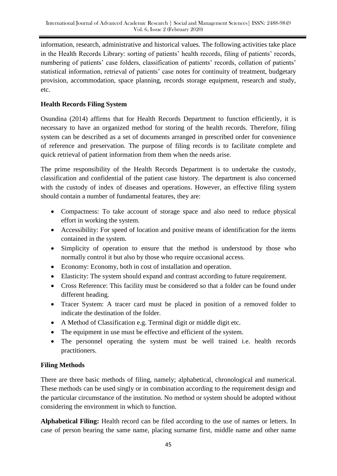information, research, administrative and historical values. The following activities take place in the Health Records Library: sorting of patients' health records, filing of patients' records, numbering of patients' case folders, classification of patients' records, collation of patients' statistical information, retrieval of patients' case notes for continuity of treatment, budgetary provision, accommodation, space planning, records storage equipment, research and study, etc.

# **Health Records Filing System**

Osundina (2014) affirms that for Health Records Department to function efficiently, it is necessary to have an organized method for storing of the health records. Therefore, filing system can be described as a set of documents arranged in prescribed order for convenience of reference and preservation. The purpose of filing records is to facilitate complete and quick retrieval of patient information from them when the needs arise.

The prime responsibility of the Health Records Department is to undertake the custody, classification and confidential of the patient case history. The department is also concerned with the custody of index of diseases and operations. However, an effective filing system should contain a number of fundamental features, they are:

- Compactness: To take account of storage space and also need to reduce physical effort in working the system.
- Accessibility: For speed of location and positive means of identification for the items contained in the system.
- Simplicity of operation to ensure that the method is understood by those who normally control it but also by those who require occasional access.
- Economy: Economy, both in cost of installation and operation.
- Elasticity: The system should expand and contrast according to future requirement.
- Cross Reference: This facility must be considered so that a folder can be found under different heading.
- Tracer System: A tracer card must be placed in position of a removed folder to indicate the destination of the folder.
- A Method of Classification e.g. Terminal digit or middle digit etc.
- The equipment in use must be effective and efficient of the system.
- The personnel operating the system must be well trained i.e. health records practitioners.

# **Filing Methods**

There are three basic methods of filing, namely; alphabetical, chronological and numerical. These methods can be used singly or in combination according to the requirement design and the particular circumstance of the institution. No method or system should be adopted without considering the environment in which to function.

**Alphabetical Filing:** Health record can be filed according to the use of names or letters. In case of person bearing the same name, placing surname first, middle name and other name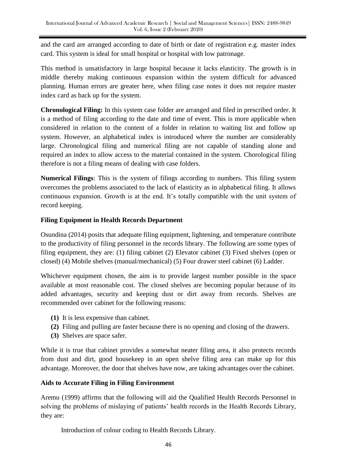and the card are arranged according to date of birth or date of registration e.g. master index card. This system is ideal for small hospital or hospital with low patronage.

This method is unsatisfactory in large hospital because it lacks elasticity. The growth is in middle thereby making continuous expansion within the system difficult for advanced planning. Human errors are greater here, when filing case notes it does not require master index card as back up for the system.

**Chronological Filing:** In this system case folder are arranged and filed in prescribed order. It is a method of filing according to the date and time of event. This is more applicable when considered in relation to the content of a folder in relation to waiting list and follow up system. However, an alphabetical index is introduced where the number are considerably large. Chronological filing and numerical filing are not capable of standing alone and required an index to allow access to the material contained in the system. Chorological filing therefore is not a filing means of dealing with case folders.

**Numerical Filings**: This is the system of filings according to numbers. This filing system overcomes the problems associated to the lack of elasticity as in alphabetical filing. It allows continuous expansion. Growth is at the end. It's totally compatible with the unit system of record keeping.

### **Filing Equipment in Health Records Department**

Osundina (2014) posits that adequate filing equipment, lightening, and temperature contribute to the productivity of filing personnel in the records library. The following are some types of filing equipment, they are: (1) filing cabinet (2) Elevator cabinet (3) Fixed shelves (open or closed) (4) Mobile shelves (manual/mechanical) (5) Four drawer steel cabinet (6) Ladder.

Whichever equipment chosen, the aim is to provide largest number possible in the space available at most reasonable cost. The closed shelves are becoming popular because of its added advantages, security and keeping dust or dirt away from records. Shelves are recommended over cabinet for the following reasons:

- **(1)** It is less expensive than cabinet.
- **(2)** Filing and pulling are faster because there is no opening and closing of the drawers.
- **(3)** Shelves are space safer.

While it is true that cabinet provides a somewhat neater filing area, it also protects records from dust and dirt, good housekeep in an open shelve filing area can make up for this advantage. Moreover, the door that shelves have now, are taking advantages over the cabinet.

### **Aids to Accurate Filing in Filing Environment**

Aremu (1999) affirms that the following will aid the Qualified Health Records Personnel in solving the problems of mislaying of patients' health records in the Health Records Library, they are:

Introduction of colour coding to Health Records Library.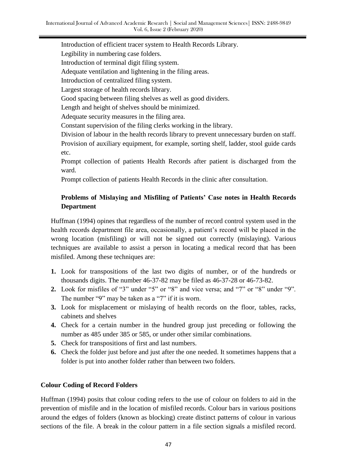Introduction of efficient tracer system to Health Records Library. Legibility in numbering case folders. Introduction of terminal digit filing system. Adequate ventilation and lightening in the filing areas. Introduction of centralized filing system. Largest storage of health records library. Good spacing between filing shelves as well as good dividers. Length and height of shelves should be minimized. Adequate security measures in the filing area. Constant supervision of the filing clerks working in the library. Division of labour in the health records library to prevent unnecessary burden on staff. Provision of auxiliary equipment, for example, sorting shelf, ladder, stool guide cards

Prompt collection of patients Health Records after patient is discharged from the ward.

Prompt collection of patients Health Records in the clinic after consultation.

# **Problems of Mislaying and Misfiling of Patients' Case notes in Health Records Department**

Huffman (1994) opines that regardless of the number of record control system used in the health records department file area, occasionally, a patient's record will be placed in the wrong location (misfiling) or will not be signed out correctly (mislaying). Various techniques are available to assist a person in locating a medical record that has been misfiled. Among these techniques are:

- **1.** Look for transpositions of the last two digits of number, or of the hundreds or thousands digits. The number 46-37-82 may be filed as 46-37-28 or 46-73-82.
- **2.** Look for misfiles of "3" under "5" or "8" and vice versa; and "7" or "8" under "9". The number "9" may be taken as a "7" if it is worn.
- **3.** Look for misplacement or mislaying of health records on the floor, tables, racks, cabinets and shelves
- **4.** Check for a certain number in the hundred group just preceding or following the number as 485 under 385 or 585, or under other similar combinations.
- **5.** Check for transpositions of first and last numbers.
- **6.** Check the folder just before and just after the one needed. It sometimes happens that a folder is put into another folder rather than between two folders.

### **Colour Coding of Record Folders**

etc.

Huffman (1994) posits that colour coding refers to the use of colour on folders to aid in the prevention of misfile and in the location of misfiled records. Colour bars in various positions around the edges of folders (known as blocking) create distinct patterns of colour in various sections of the file. A break in the colour pattern in a file section signals a misfiled record.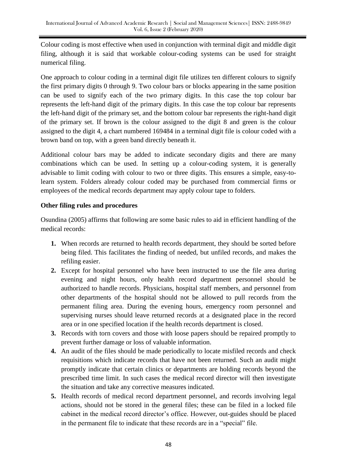Colour coding is most effective when used in conjunction with terminal digit and middle digit filing, although it is said that workable colour-coding systems can be used for straight numerical filing.

One approach to colour coding in a terminal digit file utilizes ten different colours to signify the first primary digits 0 through 9. Two colour bars or blocks appearing in the same position can be used to signify each of the two primary digits. In this case the top colour bar represents the left-hand digit of the primary digits. In this case the top colour bar represents the left-hand digit of the primary set, and the bottom colour bar represents the right-hand digit of the primary set. If brown is the colour assigned to the digit 8 and green is the colour assigned to the digit 4, a chart numbered 169484 in a terminal digit file is colour coded with a brown band on top, with a green band directly beneath it.

Additional colour bars may be added to indicate secondary digits and there are many combinations which can be used. In setting up a colour-coding system, it is generally advisable to limit coding with colour to two or three digits. This ensures a simple, easy-tolearn system. Folders already colour coded may be purchased from commercial firms or employees of the medical records department may apply colour tape to folders.

### **Other filing rules and procedures**

Osundina (2005) affirms that following are some basic rules to aid in efficient handling of the medical records:

- **1.** When records are returned to health records department, they should be sorted before being filed. This facilitates the finding of needed, but unfiled records, and makes the refiling easier.
- **2.** Except for hospital personnel who have been instructed to use the file area during evening and night hours, only health record department personnel should be authorized to handle records. Physicians, hospital staff members, and personnel from other departments of the hospital should not be allowed to pull records from the permanent filing area. During the evening hours, emergency room personnel and supervising nurses should leave returned records at a designated place in the record area or in one specified location if the health records department is closed.
- **3.** Records with torn covers and those with loose papers should be repaired promptly to prevent further damage or loss of valuable information.
- **4.** An audit of the files should be made periodically to locate misfiled records and check requisitions which indicate records that have not been returned. Such an audit might promptly indicate that certain clinics or departments are holding records beyond the prescribed time limit. In such cases the medical record director will then investigate the situation and take any corrective measures indicated.
- **5.** Health records of medical record department personnel, and records involving legal actions, should not be stored in the general files; these can be filed in a locked file cabinet in the medical record director's office. However, out-guides should be placed in the permanent file to indicate that these records are in a "special" file.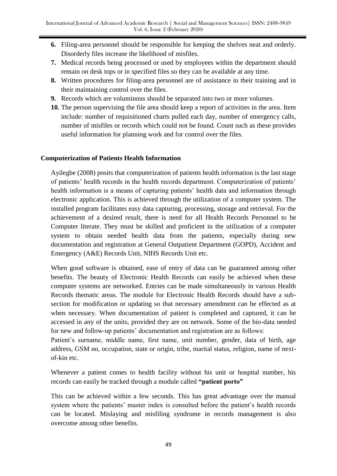- **6.** Filing-area personnel should be responsible for keeping the shelves neat and orderly. Disorderly files increase the likelihood of misfiles.
- **7.** Medical records being processed or used by employees within the department should remain on desk tops or in specified files so they can be available at any time.
- **8.** Written procedures for filing-area personnel are of assistance in their training and in their maintaining control over the files.
- **9.** Records which are voluminous should be separated into two or more volumes.
- **10.** The person supervising the file area should keep a report of activities in the area. Item include: number of requisitioned charts pulled each day, number of emergency calls, number of misfiles or records which could not be found. Count such as these provides useful information for planning work and for control over the files.

### **Computerization of Patients Health Information**

Ayilegbe (2008) posits that computerization of patients health information is the last stage of patients' health records in the health records department. Computerization of patients' health information is a means of capturing patients' health data and information through electronic application. This is achieved through the utilization of a computer system. The installed program facilitates easy data capturing, processing, storage and retrieval. For the achievement of a desired result, there is need for all Health Records Personnel to be Computer literate. They must be skilled and proficient in the utilization of a computer system to obtain needed health data from the patients, especially during new documentation and registration at General Outpatient Department (GOPD), Accident and Emergency (A&E) Records Unit, NIHS Records Unit etc.

When good software is obtained, ease of entry of data can be guaranteed among other benefits. The beauty of Electronic Health Records can easily be achieved when these computer systems are networked. Entries can be made simultaneously in various Health Records thematic areas. The module for Electronic Health Records should have a subsection for modification or updating so that necessary amendment can be effected as at when necessary. When documentation of patient is completed and captured, it can be accessed in any of the units, provided they are on network. Some of the bio-data needed for new and follow-up patients' documentation and registration are as follows:

Patient's surname, middle name, first name, unit number, gender, data of birth, age address, GSM no, occupation, state or origin, tribe, marital status, religion, name of nextof-kin etc.

Whenever a patient comes to health facility without his unit or hospital number, his records can easily be tracked through a module called **"patient porto"**

This can be achieved within a few seconds. This has great advantage over the manual system where the patients' master index is consulted before the patient's health records can be located. Mislaying and misfiling syndrome in records management is also overcome among other benefits.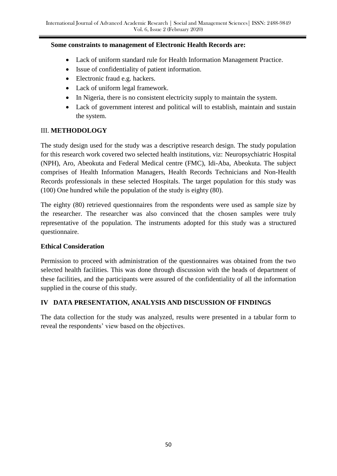### **Some constraints to management of Electronic Health Records are:**

- Lack of uniform standard rule for Health Information Management Practice.
- Issue of confidentiality of patient information.
- Electronic fraud e.g. hackers.
- Lack of uniform legal framework.
- In Nigeria, there is no consistent electricity supply to maintain the system.
- Lack of government interest and political will to establish, maintain and sustain the system.

### III. **METHODOLOGY**

The study design used for the study was a descriptive research design. The study population for this research work covered two selected health institutions, viz: Neuropsychiatric Hospital (NPH), Aro, Abeokuta and Federal Medical centre (FMC), Idi-Aba, Abeokuta. The subject comprises of Health Information Managers, Health Records Technicians and Non-Health Records professionals in these selected Hospitals. The target population for this study was (100) One hundred while the population of the study is eighty (80).

The eighty (80) retrieved questionnaires from the respondents were used as sample size by the researcher. The researcher was also convinced that the chosen samples were truly representative of the population. The instruments adopted for this study was a structured questionnaire.

### **Ethical Consideration**

Permission to proceed with administration of the questionnaires was obtained from the two selected health facilities. This was done through discussion with the heads of department of these facilities, and the participants were assured of the confidentiality of all the information supplied in the course of this study.

# **IV DATA PRESENTATION, ANALYSIS AND DISCUSSION OF FINDINGS**

The data collection for the study was analyzed, results were presented in a tabular form to reveal the respondents' view based on the objectives.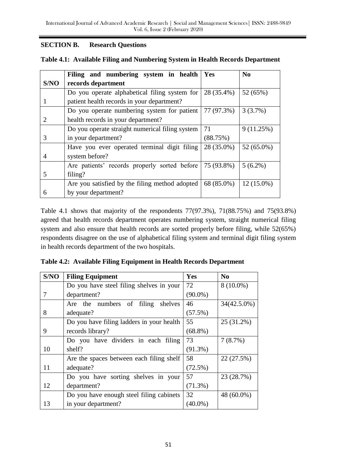### **SECTION B. Research Questions**

|      | Filing and numbering system in health           | Yes        | N <sub>0</sub> |
|------|-------------------------------------------------|------------|----------------|
| S/NO | records department                              |            |                |
|      | Do you operate alphabetical filing system for   | 28 (35.4%) | 52 (65%)       |
|      | patient health records in your department?      |            |                |
|      | Do you operate numbering system for patient     | 77 (97.3%) | 3(3.7%)        |
|      | health records in your department?              |            |                |
|      | Do you operate straight numerical filing system | 71         | 9(11.25%)      |
| 3    | in your department?                             | (88.75%)   |                |
|      | Have you ever operated terminal digit filing    | 28 (35.0%) | 52 (65.0%)     |
| 4    | system before?                                  |            |                |
|      | Are patients' records properly sorted before    | $5(6.2\%)$ |                |
| 5    | filing?                                         |            |                |
|      | Are you satisfied by the filing method adopted  | 68 (85.0%) | $12(15.0\%)$   |
| 6    | by your department?                             |            |                |

| Table 4.1: Available Filing and Numbering System in Health Records Department |  |  |
|-------------------------------------------------------------------------------|--|--|
|                                                                               |  |  |

Table 4.1 shows that majority of the respondents 77(97.3%), 71(88.75%) and 75(93.8%) agreed that health records department operates numbering system, straight numerical filing system and also ensure that health records are sorted properly before filing, while 52(65%) respondents disagree on the use of alphabetical filing system and terminal digit filing system in health records department of the two hospitals.

|  | Table 4.2: Available Filing Equipment in Health Records Department |  |  |  |
|--|--------------------------------------------------------------------|--|--|--|
|--|--------------------------------------------------------------------|--|--|--|

| S/NO | <b>Filing Equipment</b>                   | Yes        | N <sub>0</sub> |
|------|-------------------------------------------|------------|----------------|
|      | Do you have steel filing shelves in your  | 72         | $8(10.0\%)$    |
| 7    | department?                               | $(90.0\%)$ |                |
|      | Are the numbers of<br>filing<br>shelves   | 46         | 34(42.5.0%)    |
| 8    | adequate?                                 | $(57.5\%)$ |                |
|      | Do you have filing ladders in your health | 55         | 25 (31.2%)     |
| 9    | records library?                          | $(68.8\%)$ |                |
|      | Do you have dividers in each filing       | 73         | 7(8.7%)        |
| 10   | shelf?                                    | $(91.3\%)$ |                |
|      | Are the spaces between each filing shelf  | 58         | 22 (27.5%)     |
| 11   | adequate?                                 | (72.5%)    |                |
|      | Do you have sorting shelves in your       | 57         | 23 (28.7%)     |
| 12   | department?                               | $(71.3\%)$ |                |
|      | Do you have enough steel filing cabinets  | 32         | 48 (60.0%)     |
| 13   | in your department?                       | $(40.0\%)$ |                |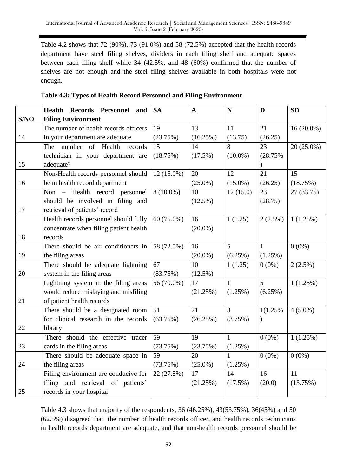Table 4.2 shows that 72 (90%), 73 (91.0%) and 58 (72.5%) accepted that the health records department have steel filing shelves, dividers in each filing shelf and adequate spaces between each filing shelf while 34 (42.5%, and 48 (60%) confirmed that the number of shelves are not enough and the steel filing shelves available in both hospitals were not enough.

|      | <b>Health Records Personnel</b><br>and | <b>SA</b>    | $\mathbf{A}$ | N              | D             | ${\bf SD}$   |
|------|----------------------------------------|--------------|--------------|----------------|---------------|--------------|
| S/NO | <b>Filing Environment</b>              |              |              |                |               |              |
|      | The number of health records officers  | 19           | 13           | 11             | 21            | $16(20.0\%)$ |
| 14   | in your department are adequate        | (23.75%)     | (16.25%)     | (13.75)        | (26.25)       |              |
|      | The number<br>of Health<br>records     | 15           | 14           | 8              | 23            | $20(25.0\%)$ |
|      | technician in your department are      | (18.75%)     | $(17.5\%)$   | $(10.0\%)$     | (28.75%       |              |
| 15   | adequate?                              |              |              |                |               |              |
|      | Non-Health records personnel should    | $12(15.0\%)$ | 20           | 12             | 21            | 15           |
| 16   | be in health record department         |              | $(25.0\%)$   | $(15.0\%)$     | (26.25)       | (18.75%)     |
|      | Non - Health record personnel          | $8(10.0\%)$  | 10           | 12(15.0)       | 23            | 27(33.75)    |
|      | should be involved in filing and       |              | $(12.5\%)$   |                | (28.75)       |              |
| 17   | retrieval of patients' record          |              |              |                |               |              |
|      | Health records personnel should fully  | 60 (75.0%)   | 16           | 1(1.25)        | $2(2.5\%)$    | 1(1.25%)     |
|      | concentrate when filing patient health |              | $(20.0\%)$   |                |               |              |
| 18   | records                                |              |              |                |               |              |
|      | There should be air conditioners in    | 58 (72.5%)   | 16           | 5              | $\mathbf{1}$  | $0(0\%)$     |
| 19   | the filing areas                       |              | $(20.0\%)$   | (6.25%)        | (1.25%)       |              |
|      | There should be adequate lightning     | 67           | 10           | 1(1.25)        | $0(0\%)$      | $2(2.5\%)$   |
| 20   | system in the filing areas             | (83.75%)     | $(12.5\%)$   |                |               |              |
|      | Lightning system in the filing areas   | 56 (70.0%)   | 17           | $\mathbf{1}$   | 5             | 1(1.25%)     |
|      | would reduce mislaying and misfiling   |              | (21.25%)     | $(1.25\%)$     | (6.25%)       |              |
| 21   | of patient health records              |              |              |                |               |              |
|      | There should be a designated room      | 51           | 21           | $\overline{3}$ | 1(1.25%       | $4(5.0\%)$   |
|      | for clinical research in the records   | (63.75%)     | (26.25%)     | (3.75%)        | $\mathcal{E}$ |              |
| 22   | library                                |              |              |                |               |              |
|      | There should the effective tracer      | 59           | 19           | $\mathbf{1}$   | $0(0\%)$      | 1(1.25%)     |
| 23   | cards in the filing areas              | (73.75%)     | (23.75%)     | (1.25%)        |               |              |
|      | There should be adequate space in      | 59           | 20           | $\mathbf{1}$   | $0(0\%)$      | $0(0\%)$     |
| 24   | the filing areas                       | (73.75%)     | $(25.0\%)$   | (1.25%)        |               |              |
|      | Filing environment are conducive for   | 22 (27.5%)   | 17           | 14             | 16            | 11           |
|      | filing and retrieval of patients'      |              | (21.25%)     | (17.5%)        | (20.0)        | (13.75%)     |
| 25   | records in your hospital               |              |              |                |               |              |

|  |  | Table 4.3: Types of Health Record Personnel and Filing Environment |  |  |
|--|--|--------------------------------------------------------------------|--|--|
|  |  |                                                                    |  |  |

Table 4.3 shows that majority of the respondents, 36 (46.25%), 43(53.75%), 36(45%) and 50 (62.5%) disagreed that the number of health records officer, and health records technicians in health records department are adequate, and that non-health records personnel should be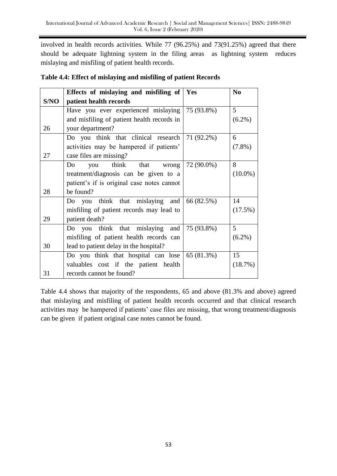involved in health records activities. While 77 (96.25%) and 73(91.25%) agreed that there should be adequate lightning system in the filing areas as lightning system reduces mislaying and misfiling of patient health records.

|      | Effects of mislaying and misfiling of $\mid$ Yes |            | N <sub>0</sub> |
|------|--------------------------------------------------|------------|----------------|
| S/NO | patient health records                           |            |                |
|      | Have you ever experienced mislaying              | 75 (93.8%) | 5              |
|      | and misfiling of patient health records in       |            | $(6.2\%)$      |
| 26   | your department?                                 |            |                |
|      | Do you think that clinical research              | 71 (92.2%) | 6              |
|      | activities may be hampered if patients'          |            | $(7.8\%)$      |
| 27   | case files are missing?                          |            |                |
|      | think that wrong<br>Do<br>you                    | 72 (90.0%) | 8              |
|      | treatment/diagnosis can be given to a            |            | $(10.0\%)$     |
|      | patient's if is original case notes cannot       |            |                |
| 28   | be found?                                        |            |                |
|      | Do you think that mislaying and                  | 66 (82.5%) | 14             |
|      | misfiling of patient records may lead to         |            | (17.5%)        |
| 29   | patient death?                                   |            |                |
|      | Do you think that mislaying<br>and               | 75 (93.8%) | 5              |
|      | misfiling of patient health records can          |            | $(6.2\%)$      |
| 30   | lead to patient delay in the hospital?           |            |                |
|      | Do you think that hospital can lose              | 65 (81.3%) | 15             |
|      | valuables cost if the patient health             |            | (18.7%)        |
| 31   | records cannot be found?                         |            |                |

# **Table 4.4: Effect of mislaying and misfiling of patient Records**

Table 4.4 shows that majority of the respondents, 65 and above (81.3% and above) agreed that mislaying and misfiling of patient health records occurred and that clinical research activities may be hampered if patients' case files are missing, that wrong treatment/diagnosis can be given if patient original case notes cannot be found.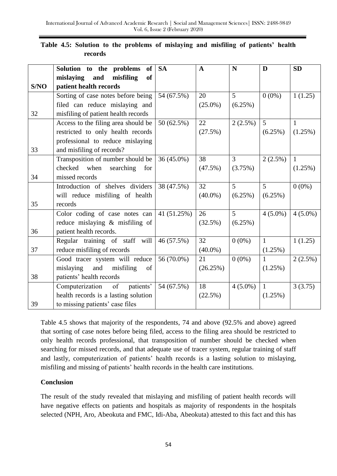|      | Solution to the problems<br>of       | <b>SA</b>    | $\mathbf{A}$ | N          | D            | <b>SD</b>    |
|------|--------------------------------------|--------------|--------------|------------|--------------|--------------|
|      | mislaying<br>and<br>misfiling<br>of  |              |              |            |              |              |
| S/NO | patient health records               |              |              |            |              |              |
|      | Sorting of case notes before being   | 54 (67.5%)   | 20           | 5          | $0(0\%)$     | 1(1.25)      |
|      | filed can reduce mislaying and       |              | $(25.0\%)$   | (6.25%)    |              |              |
| 32   | misfiling of patient health records  |              |              |            |              |              |
|      | Access to the filing area should be  | 50 (62.5%)   | 22           | $2(2.5\%)$ | 5            | $\mathbf{1}$ |
|      | restricted to only health records    |              | (27.5%)      |            | (6.25%)      | (1.25%)      |
|      | professional to reduce mislaying     |              |              |            |              |              |
| 33   | and misfiling of records?            |              |              |            |              |              |
|      | Transposition of number should be    | $36(45.0\%)$ | 38           | 3          | $2(2.5\%)$   | $\mathbf{1}$ |
|      | checked<br>when<br>searching<br>for  |              | $(47.5\%)$   | (3.75%)    |              | (1.25%)      |
| 34   | missed records                       |              |              |            |              |              |
|      | Introduction of shelves dividers     | 38 (47.5%)   | 32           | 5          | 5            | $0(0\%)$     |
|      | will reduce misfiling of health      |              | $(40.0\%)$   | (6.25%)    | (6.25%)      |              |
| 35   | records                              |              |              |            |              |              |
|      | Color coding of case notes can       | 41 (51.25%)  | 26           | 5          | $4(5.0\%)$   | $4(5.0\%)$   |
|      | reduce mislaying & misfiling of      |              | (32.5%)      | (6.25%)    |              |              |
| 36   | patient health records.              |              |              |            |              |              |
|      | Regular training of staff will       | 46 (57.5%)   | 32           | $0(0\%)$   | 1            | 1(1.25)      |
| 37   | reduce misfiling of records          |              | $(40.0\%)$   |            | (1.25%)      |              |
|      | Good tracer system will reduce       | 56 (70.0%)   | 21           | $0(0\%)$   | $\mathbf{1}$ | $2(2.5\%)$   |
|      | misfiling<br>mislaying<br>and<br>of  |              | (26.25%)     |            | (1.25%)      |              |
| 38   | patients' health records             |              |              |            |              |              |
|      | Computerization<br>of<br>patients'   | 54 (67.5%)   | 18           | $4(5.0\%)$ | $\mathbf{1}$ | 3(3.75)      |
|      | health records is a lasting solution |              | (22.5%)      |            | (1.25%)      |              |
| 39   | to missing patients' case files      |              |              |            |              |              |

# **Table 4.5: Solution to the problems of mislaying and misfiling of patients' health records**

Table 4.5 shows that majority of the respondents, 74 and above (92.5% and above) agreed that sorting of case notes before being filed, access to the filing area should be restricted to only health records professional, that transposition of number should be checked when searching for missed records, and that adequate use of tracer system, regular training of staff and lastly, computerization of patients' health records is a lasting solution to mislaying, misfiling and missing of patients' health records in the health care institutions.

# **Conclusion**

The result of the study revealed that mislaying and misfiling of patient health records will have negative effects on patients and hospitals as majority of respondents in the hospitals selected (NPH, Aro, Abeokuta and FMC, Idi-Aba, Abeokuta) attested to this fact and this has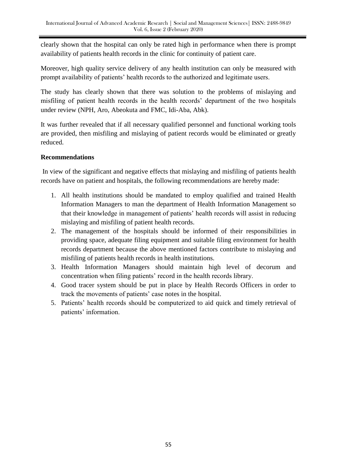clearly shown that the hospital can only be rated high in performance when there is prompt availability of patients health records in the clinic for continuity of patient care.

Moreover, high quality service delivery of any health institution can only be measured with prompt availability of patients' health records to the authorized and legitimate users.

The study has clearly shown that there was solution to the problems of mislaying and misfiling of patient health records in the health records' department of the two hospitals under review (NPH, Aro, Abeokuta and FMC, Idi-Aba, Abk).

It was further revealed that if all necessary qualified personnel and functional working tools are provided, then misfiling and mislaying of patient records would be eliminated or greatly reduced.

# **Recommendations**

In view of the significant and negative effects that mislaying and misfiling of patients health records have on patient and hospitals, the following recommendations are hereby made:

- 1. All health institutions should be mandated to employ qualified and trained Health Information Managers to man the department of Health Information Management so that their knowledge in management of patients' health records will assist in reducing mislaying and misfiling of patient health records.
- 2. The management of the hospitals should be informed of their responsibilities in providing space, adequate filing equipment and suitable filing environment for health records department because the above mentioned factors contribute to mislaying and misfiling of patients health records in health institutions.
- 3. Health Information Managers should maintain high level of decorum and concentration when filing patients' record in the health records library.
- 4. Good tracer system should be put in place by Health Records Officers in order to track the movements of patients' case notes in the hospital.
- 5. Patients' health records should be computerized to aid quick and timely retrieval of patients' information.